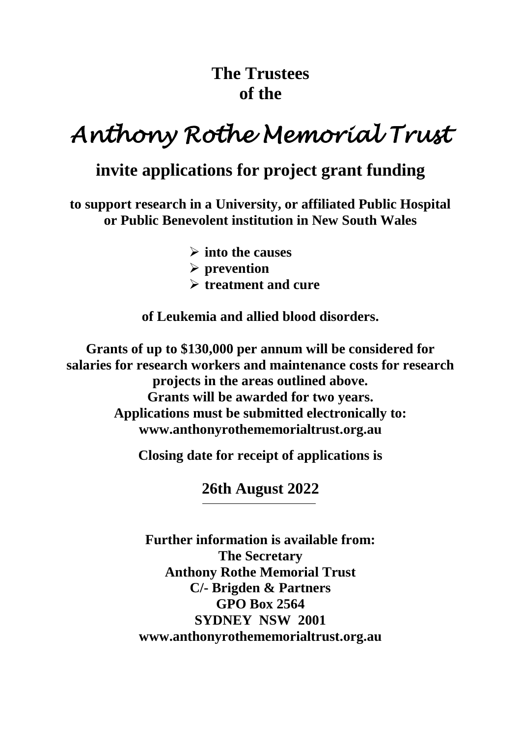## **The Trustees of the**

# *Anthony Rothe Memorial Trust*

## **invite applications for project grant funding**

**to support research in a University, or affiliated Public Hospital or Public Benevolent institution in New South Wales**

> **into the causes prevention treatment and cure**

**of Leukemia and allied blood disorders.**

**Grants of up to \$130,000 per annum will be considered for salaries for research workers and maintenance costs for research projects in the areas outlined above. Grants will be awarded for two years. Applications must be submitted electronically to: www.anthonyrothememorialtrust.org.au**

**Closing date for receipt of applications is**

**26th August 2022**

**Further information is available from: The Secretary Anthony Rothe Memorial Trust C/- Brigden & Partners GPO Box 2564 SYDNEY NSW 2001 www.anthonyrothememorialtrust.org.au**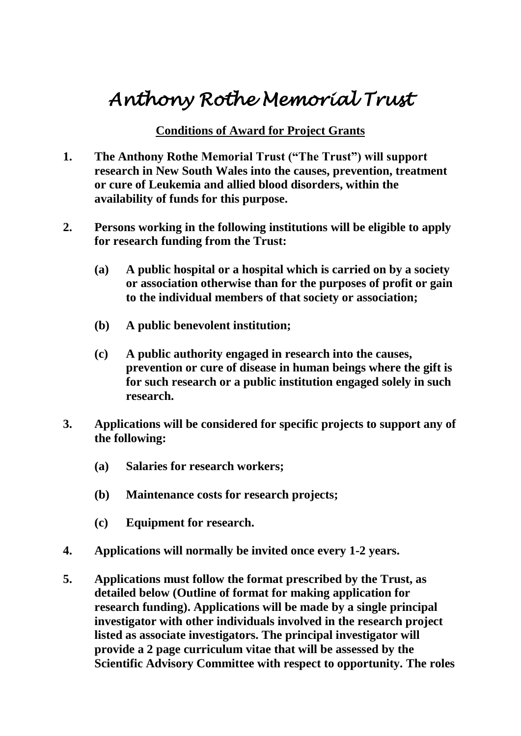# *Anthony Rothe Memorial Trust*

### **Conditions of Award for Project Grants**

- **1. The Anthony Rothe Memorial Trust ("The Trust") will support research in New South Wales into the causes, prevention, treatment or cure of Leukemia and allied blood disorders, within the availability of funds for this purpose.**
- **2. Persons working in the following institutions will be eligible to apply for research funding from the Trust:**
	- **(a) A public hospital or a hospital which is carried on by a society or association otherwise than for the purposes of profit or gain to the individual members of that society or association;**
	- **(b) A public benevolent institution;**
	- **(c) A public authority engaged in research into the causes, prevention or cure of disease in human beings where the gift is for such research or a public institution engaged solely in such research.**
- **3. Applications will be considered for specific projects to support any of the following:**
	- **(a) Salaries for research workers;**
	- **(b) Maintenance costs for research projects;**
	- **(c) Equipment for research.**
- **4. Applications will normally be invited once every 1-2 years.**
- **5. Applications must follow the format prescribed by the Trust, as detailed below (Outline of format for making application for research funding). Applications will be made by a single principal investigator with other individuals involved in the research project listed as associate investigators. The principal investigator will provide a 2 page curriculum vitae that will be assessed by the Scientific Advisory Committee with respect to opportunity. The roles**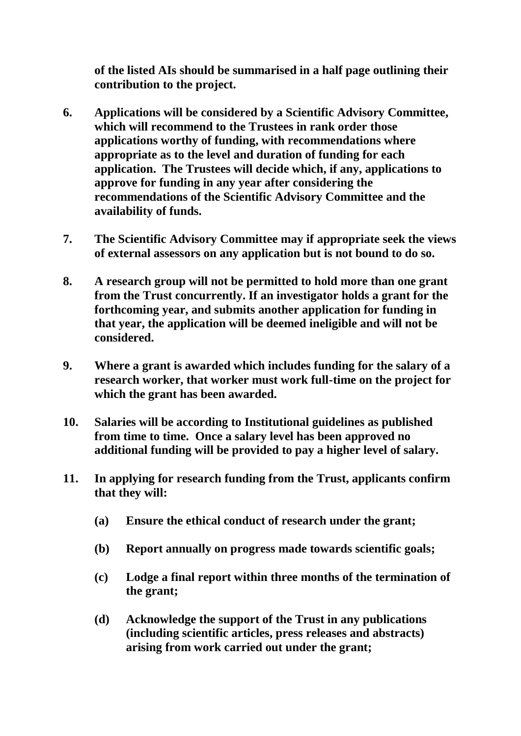**of the listed AIs should be summarised in a half page outlining their contribution to the project.**

- **6. Applications will be considered by a Scientific Advisory Committee, which will recommend to the Trustees in rank order those applications worthy of funding, with recommendations where appropriate as to the level and duration of funding for each application. The Trustees will decide which, if any, applications to approve for funding in any year after considering the recommendations of the Scientific Advisory Committee and the availability of funds.**
- **7. The Scientific Advisory Committee may if appropriate seek the views of external assessors on any application but is not bound to do so.**
- **8. A research group will not be permitted to hold more than one grant from the Trust concurrently. If an investigator holds a grant for the forthcoming year, and submits another application for funding in that year, the application will be deemed ineligible and will not be considered.**
- **9. Where a grant is awarded which includes funding for the salary of a research worker, that worker must work full-time on the project for which the grant has been awarded.**
- **10. Salaries will be according to Institutional guidelines as published from time to time. Once a salary level has been approved no additional funding will be provided to pay a higher level of salary.**
- **11. In applying for research funding from the Trust, applicants confirm that they will:**
	- **(a) Ensure the ethical conduct of research under the grant;**
	- **(b) Report annually on progress made towards scientific goals;**
	- **(c) Lodge a final report within three months of the termination of the grant;**
	- **(d) Acknowledge the support of the Trust in any publications (including scientific articles, press releases and abstracts) arising from work carried out under the grant;**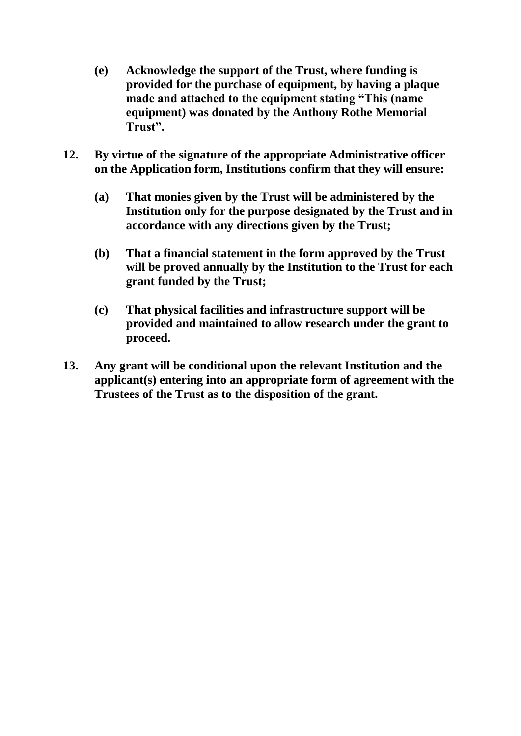- **(e) Acknowledge the support of the Trust, where funding is provided for the purchase of equipment, by having a plaque made and attached to the equipment stating "This (name equipment) was donated by the Anthony Rothe Memorial Trust".**
- **12. By virtue of the signature of the appropriate Administrative officer on the Application form, Institutions confirm that they will ensure:**
	- **(a) That monies given by the Trust will be administered by the Institution only for the purpose designated by the Trust and in accordance with any directions given by the Trust;**
	- **(b) That a financial statement in the form approved by the Trust will be proved annually by the Institution to the Trust for each grant funded by the Trust;**
	- **(c) That physical facilities and infrastructure support will be provided and maintained to allow research under the grant to proceed.**
- **13. Any grant will be conditional upon the relevant Institution and the applicant(s) entering into an appropriate form of agreement with the Trustees of the Trust as to the disposition of the grant.**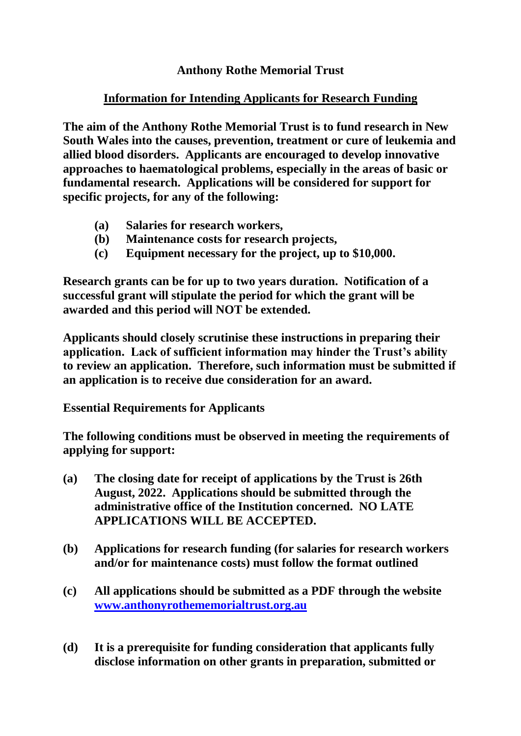### **Anthony Rothe Memorial Trust**

### **Information for Intending Applicants for Research Funding**

**The aim of the Anthony Rothe Memorial Trust is to fund research in New South Wales into the causes, prevention, treatment or cure of leukemia and allied blood disorders. Applicants are encouraged to develop innovative approaches to haematological problems, especially in the areas of basic or fundamental research. Applications will be considered for support for specific projects, for any of the following:**

- **(a) Salaries for research workers,**
- **(b) Maintenance costs for research projects,**
- **(c) Equipment necessary for the project, up to \$10,000.**

**Research grants can be for up to two years duration. Notification of a successful grant will stipulate the period for which the grant will be awarded and this period will NOT be extended.**

**Applicants should closely scrutinise these instructions in preparing their application. Lack of sufficient information may hinder the Trust's ability to review an application. Therefore, such information must be submitted if an application is to receive due consideration for an award.**

**Essential Requirements for Applicants**

**The following conditions must be observed in meeting the requirements of applying for support:**

- **(a) The closing date for receipt of applications by the Trust is 26th August, 2022. Applications should be submitted through the administrative office of the Institution concerned. NO LATE APPLICATIONS WILL BE ACCEPTED.**
- **(b) Applications for research funding (for salaries for research workers and/or for maintenance costs) must follow the format outlined**
- **(c) All applications should be submitted as a PDF through the website [www.anthonyrothememorialtrust.org.au](http://www.anthonyrothememorialtrust.org.au/)**
- **(d) It is a prerequisite for funding consideration that applicants fully disclose information on other grants in preparation, submitted or**